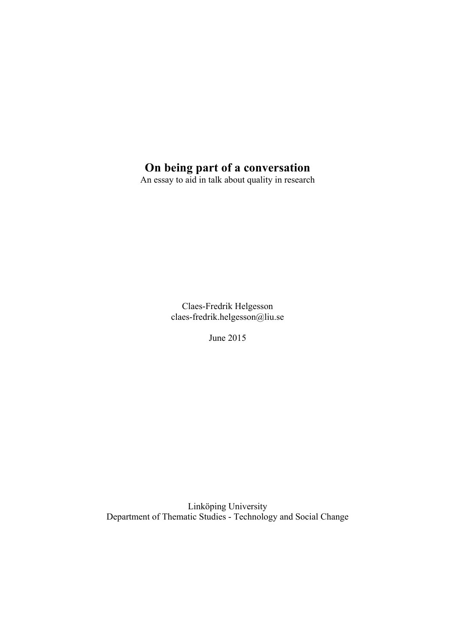# **On being part of a conversation**

An essay to aid in talk about quality in research

Claes-Fredrik Helgesson claes-fredrik.helgesson@liu.se

June 2015

Linköping University Department of Thematic Studies - Technology and Social Change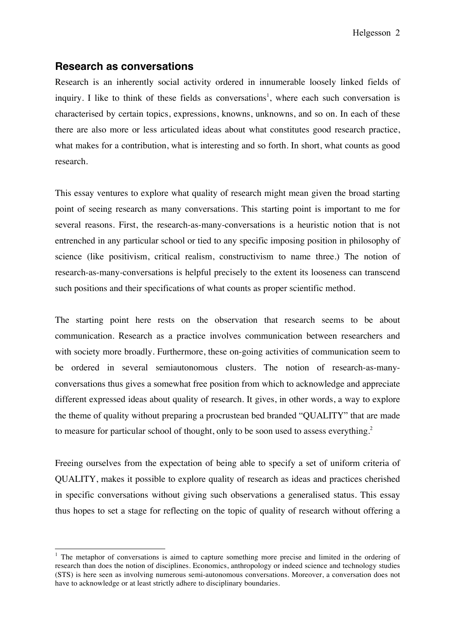## **Research as conversations**

Research is an inherently social activity ordered in innumerable loosely linked fields of inquiry. I like to think of these fields as conversations<sup>1</sup>, where each such conversation is characterised by certain topics, expressions, knowns, unknowns, and so on. In each of these there are also more or less articulated ideas about what constitutes good research practice, what makes for a contribution, what is interesting and so forth. In short, what counts as good research.

This essay ventures to explore what quality of research might mean given the broad starting point of seeing research as many conversations. This starting point is important to me for several reasons. First, the research-as-many-conversations is a heuristic notion that is not entrenched in any particular school or tied to any specific imposing position in philosophy of science (like positivism, critical realism, constructivism to name three.) The notion of research-as-many-conversations is helpful precisely to the extent its looseness can transcend such positions and their specifications of what counts as proper scientific method.

The starting point here rests on the observation that research seems to be about communication. Research as a practice involves communication between researchers and with society more broadly. Furthermore, these on-going activities of communication seem to be ordered in several semiautonomous clusters. The notion of research-as-manyconversations thus gives a somewhat free position from which to acknowledge and appreciate different expressed ideas about quality of research. It gives, in other words, a way to explore the theme of quality without preparing a procrustean bed branded "QUALITY" that are made to measure for particular school of thought, only to be soon used to assess everything.<sup>2</sup>

Freeing ourselves from the expectation of being able to specify a set of uniform criteria of QUALITY, makes it possible to explore quality of research as ideas and practices cherished in specific conversations without giving such observations a generalised status. This essay thus hopes to set a stage for reflecting on the topic of quality of research without offering a

 $1$  The metaphor of conversations is aimed to capture something more precise and limited in the ordering of research than does the notion of disciplines. Economics, anthropology or indeed science and technology studies (STS) is here seen as involving numerous semi-autonomous conversations. Moreover, a conversation does not have to acknowledge or at least strictly adhere to disciplinary boundaries.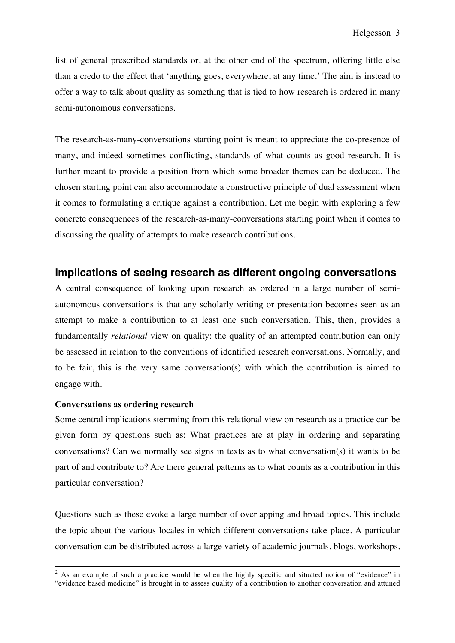list of general prescribed standards or, at the other end of the spectrum, offering little else than a credo to the effect that 'anything goes, everywhere, at any time.' The aim is instead to offer a way to talk about quality as something that is tied to how research is ordered in many semi-autonomous conversations.

The research-as-many-conversations starting point is meant to appreciate the co-presence of many, and indeed sometimes conflicting, standards of what counts as good research. It is further meant to provide a position from which some broader themes can be deduced. The chosen starting point can also accommodate a constructive principle of dual assessment when it comes to formulating a critique against a contribution. Let me begin with exploring a few concrete consequences of the research-as-many-conversations starting point when it comes to discussing the quality of attempts to make research contributions.

## **Implications of seeing research as different ongoing conversations**

A central consequence of looking upon research as ordered in a large number of semiautonomous conversations is that any scholarly writing or presentation becomes seen as an attempt to make a contribution to at least one such conversation. This, then, provides a fundamentally *relational* view on quality: the quality of an attempted contribution can only be assessed in relation to the conventions of identified research conversations. Normally, and to be fair, this is the very same conversation(s) with which the contribution is aimed to engage with.

#### **Conversations as ordering research**

Some central implications stemming from this relational view on research as a practice can be given form by questions such as: What practices are at play in ordering and separating conversations? Can we normally see signs in texts as to what conversation(s) it wants to be part of and contribute to? Are there general patterns as to what counts as a contribution in this particular conversation?

Questions such as these evoke a large number of overlapping and broad topics. This include the topic about the various locales in which different conversations take place. A particular conversation can be distributed across a large variety of academic journals, blogs, workshops,

<sup>&</sup>lt;sup>2</sup> As an example of such a practice would be when the highly specific and situated notion of "evidence" in "evidence based medicine" is brought in to assess quality of a contribution to another conversation and attuned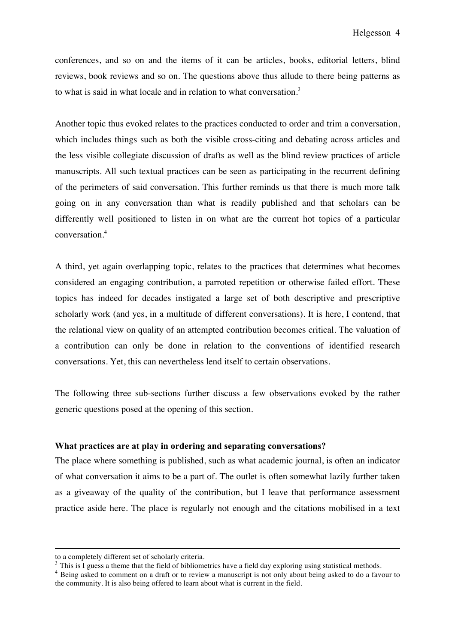conferences, and so on and the items of it can be articles, books, editorial letters, blind reviews, book reviews and so on. The questions above thus allude to there being patterns as to what is said in what locale and in relation to what conversation.<sup>3</sup>

Another topic thus evoked relates to the practices conducted to order and trim a conversation, which includes things such as both the visible cross-citing and debating across articles and the less visible collegiate discussion of drafts as well as the blind review practices of article manuscripts. All such textual practices can be seen as participating in the recurrent defining of the perimeters of said conversation. This further reminds us that there is much more talk going on in any conversation than what is readily published and that scholars can be differently well positioned to listen in on what are the current hot topics of a particular conversation.<sup>4</sup>

A third, yet again overlapping topic, relates to the practices that determines what becomes considered an engaging contribution, a parroted repetition or otherwise failed effort. These topics has indeed for decades instigated a large set of both descriptive and prescriptive scholarly work (and yes, in a multitude of different conversations). It is here, I contend, that the relational view on quality of an attempted contribution becomes critical. The valuation of a contribution can only be done in relation to the conventions of identified research conversations. Yet, this can nevertheless lend itself to certain observations.

The following three sub-sections further discuss a few observations evoked by the rather generic questions posed at the opening of this section.

#### **What practices are at play in ordering and separating conversations?**

The place where something is published, such as what academic journal, is often an indicator of what conversation it aims to be a part of. The outlet is often somewhat lazily further taken as a giveaway of the quality of the contribution, but I leave that performance assessment practice aside here. The place is regularly not enough and the citations mobilised in a text

 $\overline{a}$ 

to a completely different set of scholarly criteria.<br> $3$  This is I guess a theme that the field of bibliometrics have a field day exploring using statistical methods.

<sup>&</sup>lt;sup>4</sup> Being asked to comment on a draft or to review a manuscript is not only about being asked to do a favour to the community. It is also being offered to learn about what is current in the field.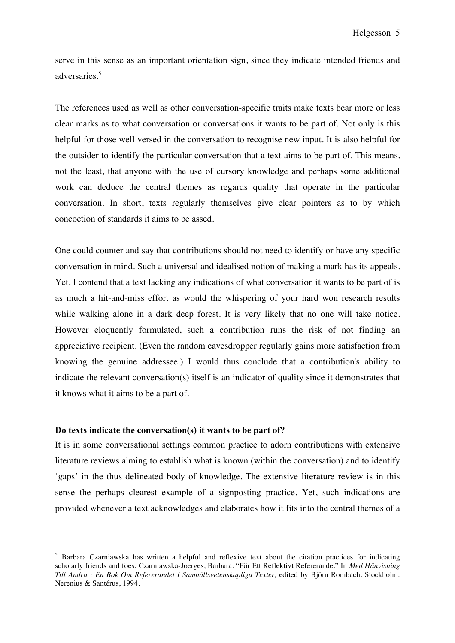serve in this sense as an important orientation sign, since they indicate intended friends and adversaries.5

The references used as well as other conversation-specific traits make texts bear more or less clear marks as to what conversation or conversations it wants to be part of. Not only is this helpful for those well versed in the conversation to recognise new input. It is also helpful for the outsider to identify the particular conversation that a text aims to be part of. This means, not the least, that anyone with the use of cursory knowledge and perhaps some additional work can deduce the central themes as regards quality that operate in the particular conversation. In short, texts regularly themselves give clear pointers as to by which concoction of standards it aims to be assed.

One could counter and say that contributions should not need to identify or have any specific conversation in mind. Such a universal and idealised notion of making a mark has its appeals. Yet, I contend that a text lacking any indications of what conversation it wants to be part of is as much a hit-and-miss effort as would the whispering of your hard won research results while walking alone in a dark deep forest. It is very likely that no one will take notice. However eloquently formulated, such a contribution runs the risk of not finding an appreciative recipient. (Even the random eavesdropper regularly gains more satisfaction from knowing the genuine addressee.) I would thus conclude that a contribution's ability to indicate the relevant conversation(s) itself is an indicator of quality since it demonstrates that it knows what it aims to be a part of.

### **Do texts indicate the conversation(s) it wants to be part of?**

It is in some conversational settings common practice to adorn contributions with extensive literature reviews aiming to establish what is known (within the conversation) and to identify 'gaps' in the thus delineated body of knowledge. The extensive literature review is in this sense the perhaps clearest example of a signposting practice. Yet, such indications are provided whenever a text acknowledges and elaborates how it fits into the central themes of a

<sup>&</sup>lt;sup>5</sup> Barbara Czarniawska has written a helpful and reflexive text about the citation practices for indicating scholarly friends and foes: Czarniawska-Joerges, Barbara. "För Ett Reflektivt Refererande." In *Med Hänvisning Till Andra : En Bok Om Refererandet I Samhällsvetenskapliga Texter,* edited by Björn Rombach. Stockholm: Nerenius & Santérus, 1994.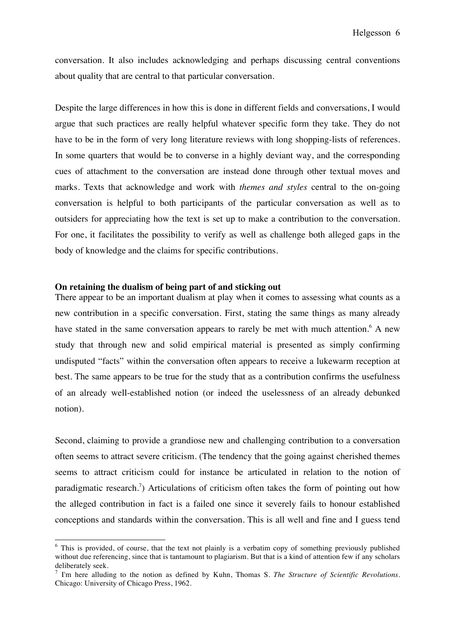conversation. It also includes acknowledging and perhaps discussing central conventions about quality that are central to that particular conversation.

Despite the large differences in how this is done in different fields and conversations, I would argue that such practices are really helpful whatever specific form they take. They do not have to be in the form of very long literature reviews with long shopping-lists of references. In some quarters that would be to converse in a highly deviant way, and the corresponding cues of attachment to the conversation are instead done through other textual moves and marks. Texts that acknowledge and work with *themes and styles* central to the on-going conversation is helpful to both participants of the particular conversation as well as to outsiders for appreciating how the text is set up to make a contribution to the conversation. For one, it facilitates the possibility to verify as well as challenge both alleged gaps in the body of knowledge and the claims for specific contributions.

#### **On retaining the dualism of being part of and sticking out**

There appear to be an important dualism at play when it comes to assessing what counts as a new contribution in a specific conversation. First, stating the same things as many already have stated in the same conversation appears to rarely be met with much attention.<sup>6</sup> A new study that through new and solid empirical material is presented as simply confirming undisputed "facts" within the conversation often appears to receive a lukewarm reception at best. The same appears to be true for the study that as a contribution confirms the usefulness of an already well-established notion (or indeed the uselessness of an already debunked notion).

Second, claiming to provide a grandiose new and challenging contribution to a conversation often seems to attract severe criticism. (The tendency that the going against cherished themes seems to attract criticism could for instance be articulated in relation to the notion of paradigmatic research.<sup>7</sup>) Articulations of criticism often takes the form of pointing out how the alleged contribution in fact is a failed one since it severely fails to honour established conceptions and standards within the conversation. This is all well and fine and I guess tend

<sup>&</sup>lt;sup>6</sup> This is provided, of course, that the text not plainly is a verbatim copy of something previously published without due referencing, since that is tantamount to plagiarism. But that is a kind of attention few if any scholars deliberately seek.

<sup>7</sup> I'm here alluding to the notion as defined by Kuhn, Thomas S. *The Structure of Scientific Revolutions.*  Chicago: University of Chicago Press, 1962.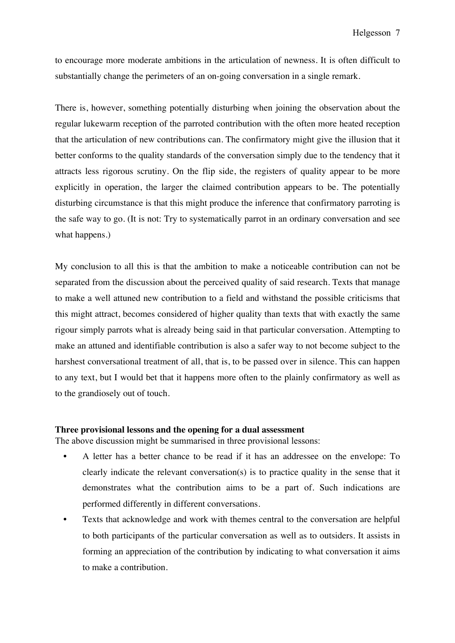to encourage more moderate ambitions in the articulation of newness. It is often difficult to substantially change the perimeters of an on-going conversation in a single remark.

There is, however, something potentially disturbing when joining the observation about the regular lukewarm reception of the parroted contribution with the often more heated reception that the articulation of new contributions can. The confirmatory might give the illusion that it better conforms to the quality standards of the conversation simply due to the tendency that it attracts less rigorous scrutiny. On the flip side, the registers of quality appear to be more explicitly in operation, the larger the claimed contribution appears to be. The potentially disturbing circumstance is that this might produce the inference that confirmatory parroting is the safe way to go. (It is not: Try to systematically parrot in an ordinary conversation and see what happens.)

My conclusion to all this is that the ambition to make a noticeable contribution can not be separated from the discussion about the perceived quality of said research. Texts that manage to make a well attuned new contribution to a field and withstand the possible criticisms that this might attract, becomes considered of higher quality than texts that with exactly the same rigour simply parrots what is already being said in that particular conversation. Attempting to make an attuned and identifiable contribution is also a safer way to not become subject to the harshest conversational treatment of all, that is, to be passed over in silence. This can happen to any text, but I would bet that it happens more often to the plainly confirmatory as well as to the grandiosely out of touch.

## **Three provisional lessons and the opening for a dual assessment**

The above discussion might be summarised in three provisional lessons:

- A letter has a better chance to be read if it has an addressee on the envelope: To clearly indicate the relevant conversation(s) is to practice quality in the sense that it demonstrates what the contribution aims to be a part of. Such indications are performed differently in different conversations.
- Texts that acknowledge and work with themes central to the conversation are helpful to both participants of the particular conversation as well as to outsiders. It assists in forming an appreciation of the contribution by indicating to what conversation it aims to make a contribution.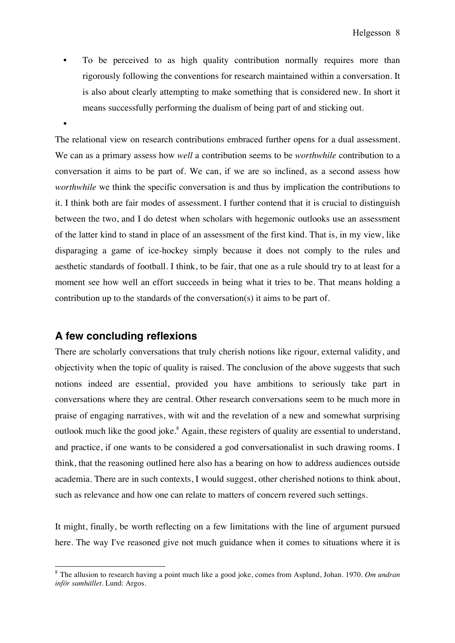- To be perceived to as high quality contribution normally requires more than rigorously following the conventions for research maintained within a conversation. It is also about clearly attempting to make something that is considered new. In short it means successfully performing the dualism of being part of and sticking out.
- •

The relational view on research contributions embraced further opens for a dual assessment. We can as a primary assess how *well* a contribution seems to be *worthwhile* contribution to a conversation it aims to be part of. We can, if we are so inclined, as a second assess how *worthwhile* we think the specific conversation is and thus by implication the contributions to it. I think both are fair modes of assessment. I further contend that it is crucial to distinguish between the two, and I do detest when scholars with hegemonic outlooks use an assessment of the latter kind to stand in place of an assessment of the first kind. That is, in my view, like disparaging a game of ice-hockey simply because it does not comply to the rules and aesthetic standards of football. I think, to be fair, that one as a rule should try to at least for a moment see how well an effort succeeds in being what it tries to be. That means holding a contribution up to the standards of the conversation(s) it aims to be part of.

## **A few concluding reflexions**

There are scholarly conversations that truly cherish notions like rigour, external validity, and objectivity when the topic of quality is raised. The conclusion of the above suggests that such notions indeed are essential, provided you have ambitions to seriously take part in conversations where they are central. Other research conversations seem to be much more in praise of engaging narratives, with wit and the revelation of a new and somewhat surprising outlook much like the good joke.<sup>8</sup> Again, these registers of quality are essential to understand, and practice, if one wants to be considered a god conversationalist in such drawing rooms. I think, that the reasoning outlined here also has a bearing on how to address audiences outside academia. There are in such contexts, I would suggest, other cherished notions to think about, such as relevance and how one can relate to matters of concern revered such settings.

It might, finally, be worth reflecting on a few limitations with the line of argument pursued here. The way I've reasoned give not much guidance when it comes to situations where it is

 <sup>8</sup> The allusion to research having a point much like a good joke, comes from Asplund, Johan. 1970. *Om undran inför samhället*. Lund: Argos.